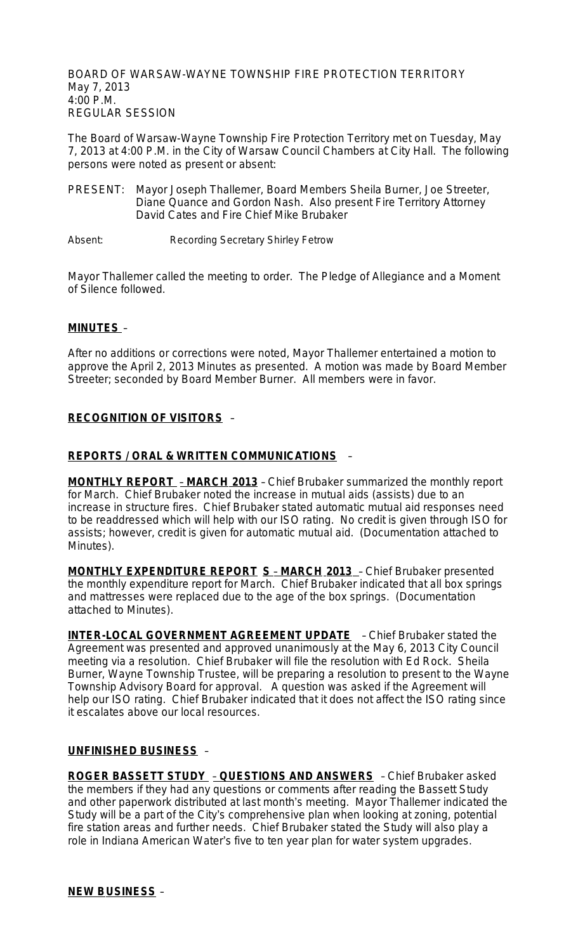BOARD OF WARSAW-WAYNE TOWNSHIP FIRE PROTECTION TERRITORY May 7, 2013 4:00 P.M. REGULAR SESSION

The Board of Warsaw-Wayne Township Fire Protection Territory met on Tuesday, May 7, 2013 at 4:00 P.M. in the City of Warsaw Council Chambers at City Hall. The following persons were noted as present or absent:

- PRESENT: Mayor Joseph Thallemer, Board Members Sheila Burner, Joe Streeter, Diane Quance and Gordon Nash. Also present Fire Territory Attorney David Cates and Fire Chief Mike Brubaker
- Absent: Recording Secretary Shirley Fetrow

Mayor Thallemer called the meeting to order. The Pledge of Allegiance and a Moment of Silence followed.

## **MINUTES** –

After no additions or corrections were noted, Mayor Thallemer entertained a motion to approve the April 2, 2013 Minutes as presented. A motion was made by Board Member Streeter; seconded by Board Member Burner. All members were in favor.

# **RECOGNITION OF VISITORS** –

## **REPORTS / ORAL & WRITTEN COMMUNICATIONS** –

**MONTHLY REPORT** – **MARCH 2013** – Chief Brubaker summarized the monthly report for March. Chief Brubaker noted the increase in mutual aids (assists) due to an increase in structure fires. Chief Brubaker stated automatic mutual aid responses need to be readdressed which will help with our ISO rating. No credit is given through ISO for assists; however, credit is given for automatic mutual aid. (Documentation attached to Minutes).

**MONTHLY EXPENDITURE REPORT S** – **MARCH 2013** – Chief Brubaker presented the monthly expenditure report for March. Chief Brubaker indicated that all box springs and mattresses were replaced due to the age of the box springs. (Documentation attached to Minutes).

**INTER-LOCAL GOVERNMENT AGREEMENT UPDATE** - Chief Brubaker stated the Agreement was presented and approved unanimously at the May 6, 2013 City Council meeting via a resolution. Chief Brubaker will file the resolution with Ed Rock. Sheila Burner, Wayne Township Trustee, will be preparing a resolution to present to the Wayne Township Advisory Board for approval. A question was asked if the Agreement will help our ISO rating. Chief Brubaker indicated that it does not affect the ISO rating since it escalates above our local resources.

## **UNFINISHED BUSINESS** –

**ROGER BASSETT STUDY** – **QUESTIONS AND ANSWERS** – Chief Brubaker asked the members if they had any questions or comments after reading the Bassett Study and other paperwork distributed at last month's meeting. Mayor Thallemer indicated the Study will be a part of the City's comprehensive plan when looking at zoning, potential fire station areas and further needs. Chief Brubaker stated the Study will also play a role in Indiana American Water's five to ten year plan for water system upgrades.